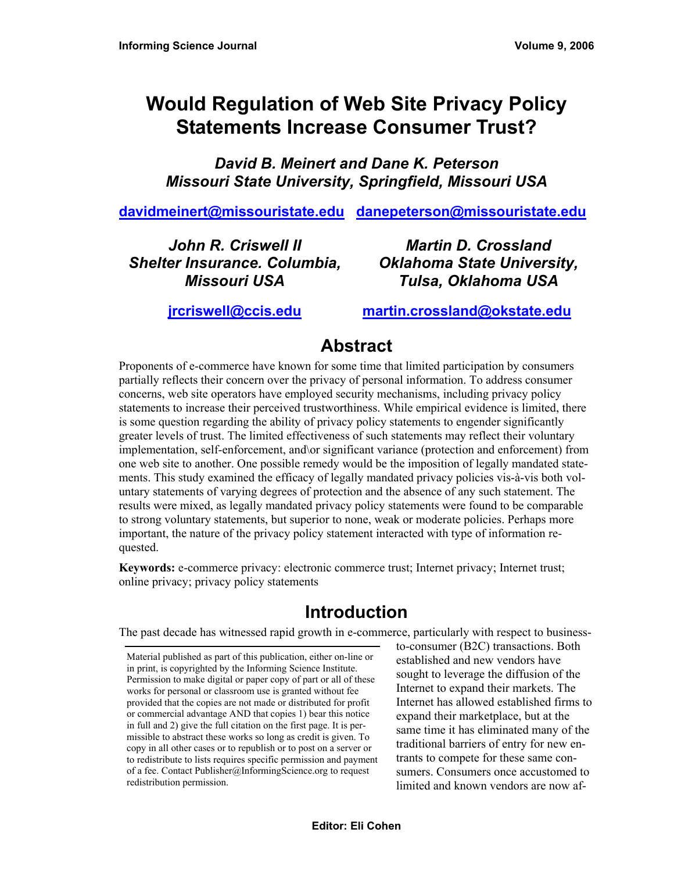# **Would Regulation of Web Site Privacy Policy Statements Increase Consumer Trust?**

*David B. Meinert and Dane K. Peterson Missouri State University, Springfield, Missouri USA* 

**davidmeinert@missouristate.edu danepeterson@missouristate.edu**

*John R. Criswell II Shelter Insurance. Columbia, Missouri USA* 

*Martin D. Crossland Oklahoma State University, Tulsa, Oklahoma USA* 

**jrcriswell@ccis.edu**

**martin.crossland@okstate.edu**

# **Abstract**

Proponents of e-commerce have known for some time that limited participation by consumers partially reflects their concern over the privacy of personal information. To address consumer concerns, web site operators have employed security mechanisms, including privacy policy statements to increase their perceived trustworthiness. While empirical evidence is limited, there is some question regarding the ability of privacy policy statements to engender significantly greater levels of trust. The limited effectiveness of such statements may reflect their voluntary implementation, self-enforcement, and\or significant variance (protection and enforcement) from one web site to another. One possible remedy would be the imposition of legally mandated statements. This study examined the efficacy of legally mandated privacy policies vis-à-vis both voluntary statements of varying degrees of protection and the absence of any such statement. The results were mixed, as legally mandated privacy policy statements were found to be comparable to strong voluntary statements, but superior to none, weak or moderate policies. Perhaps more important, the nature of the privacy policy statement interacted with type of information requested.

**Keywords:** e-commerce privacy: electronic commerce trust; Internet privacy; Internet trust; online privacy; privacy policy statements

# **Introduction**

The past decade has witnessed rapid growth in e-commerce, particularly with respect to business-

Material published as part of this publication, either on-line or in print, is copyrighted by the Informing Science Institute. Permission to make digital or paper copy of part or all of these works for personal or classroom use is granted without fee provided that the copies are not made or distributed for profit or commercial advantage AND that copies 1) bear this notice in full and 2) give the full citation on the first page. It is permissible to abstract these works so long as credit is given. To copy in all other cases or to republish or to post on a server or to redistribute to lists requires specific permission and payment of a fee. Contact Publisher@InformingScience.org to request redistribution permission.

to-consumer (B2C) transactions. Both established and new vendors have sought to leverage the diffusion of the Internet to expand their markets. The Internet has allowed established firms to expand their marketplace, but at the same time it has eliminated many of the traditional barriers of entry for new entrants to compete for these same consumers. Consumers once accustomed to limited and known vendors are now af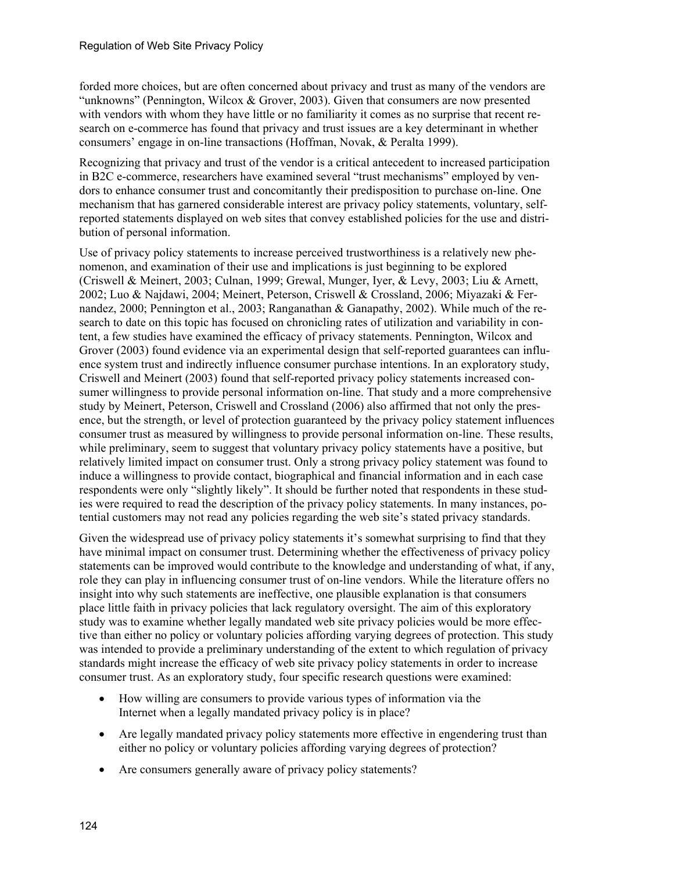forded more choices, but are often concerned about privacy and trust as many of the vendors are "unknowns" (Pennington, Wilcox & Grover, 2003). Given that consumers are now presented with vendors with whom they have little or no familiarity it comes as no surprise that recent research on e-commerce has found that privacy and trust issues are a key determinant in whether consumers' engage in on-line transactions (Hoffman, Novak, & Peralta 1999).

Recognizing that privacy and trust of the vendor is a critical antecedent to increased participation in B2C e-commerce, researchers have examined several "trust mechanisms" employed by vendors to enhance consumer trust and concomitantly their predisposition to purchase on-line. One mechanism that has garnered considerable interest are privacy policy statements, voluntary, selfreported statements displayed on web sites that convey established policies for the use and distribution of personal information.

Use of privacy policy statements to increase perceived trustworthiness is a relatively new phenomenon, and examination of their use and implications is just beginning to be explored (Criswell & Meinert, 2003; Culnan, 1999; Grewal, Munger, Iyer, & Levy, 2003; Liu & Arnett, 2002; Luo & Najdawi, 2004; Meinert, Peterson, Criswell & Crossland, 2006; Miyazaki & Fernandez, 2000; Pennington et al., 2003; Ranganathan & Ganapathy, 2002). While much of the research to date on this topic has focused on chronicling rates of utilization and variability in content, a few studies have examined the efficacy of privacy statements. Pennington, Wilcox and Grover (2003) found evidence via an experimental design that self-reported guarantees can influence system trust and indirectly influence consumer purchase intentions. In an exploratory study, Criswell and Meinert (2003) found that self-reported privacy policy statements increased consumer willingness to provide personal information on-line. That study and a more comprehensive study by Meinert, Peterson, Criswell and Crossland (2006) also affirmed that not only the presence, but the strength, or level of protection guaranteed by the privacy policy statement influences consumer trust as measured by willingness to provide personal information on-line. These results, while preliminary, seem to suggest that voluntary privacy policy statements have a positive, but relatively limited impact on consumer trust. Only a strong privacy policy statement was found to induce a willingness to provide contact, biographical and financial information and in each case respondents were only "slightly likely". It should be further noted that respondents in these studies were required to read the description of the privacy policy statements. In many instances, potential customers may not read any policies regarding the web site's stated privacy standards.

Given the widespread use of privacy policy statements it's somewhat surprising to find that they have minimal impact on consumer trust. Determining whether the effectiveness of privacy policy statements can be improved would contribute to the knowledge and understanding of what, if any, role they can play in influencing consumer trust of on-line vendors. While the literature offers no insight into why such statements are ineffective, one plausible explanation is that consumers place little faith in privacy policies that lack regulatory oversight. The aim of this exploratory study was to examine whether legally mandated web site privacy policies would be more effective than either no policy or voluntary policies affording varying degrees of protection. This study was intended to provide a preliminary understanding of the extent to which regulation of privacy standards might increase the efficacy of web site privacy policy statements in order to increase consumer trust. As an exploratory study, four specific research questions were examined:

- How willing are consumers to provide various types of information via the Internet when a legally mandated privacy policy is in place?
- Are legally mandated privacy policy statements more effective in engendering trust than either no policy or voluntary policies affording varying degrees of protection?
- Are consumers generally aware of privacy policy statements?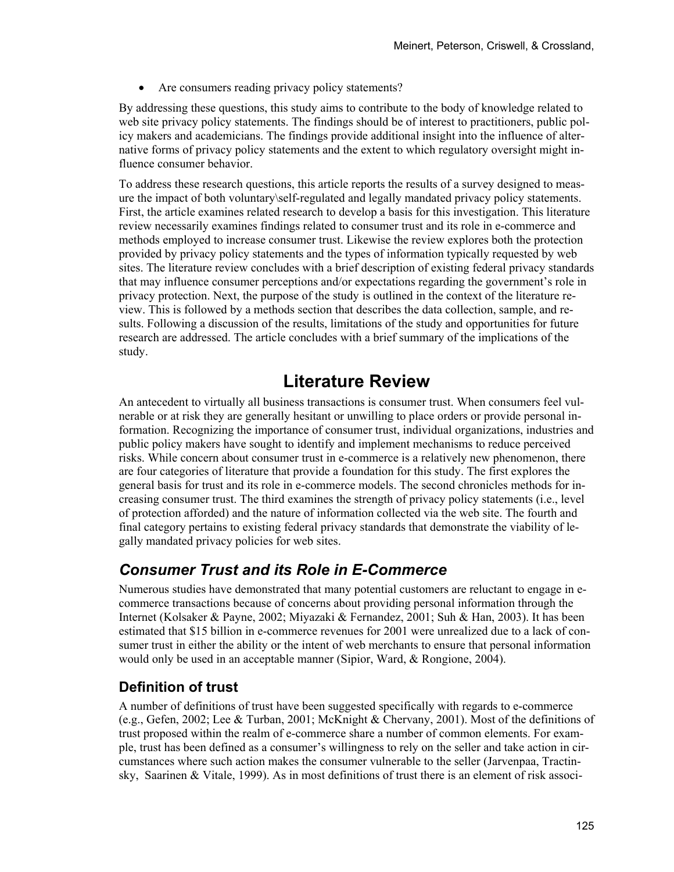• Are consumers reading privacy policy statements?

By addressing these questions, this study aims to contribute to the body of knowledge related to web site privacy policy statements. The findings should be of interest to practitioners, public policy makers and academicians. The findings provide additional insight into the influence of alternative forms of privacy policy statements and the extent to which regulatory oversight might influence consumer behavior.

To address these research questions, this article reports the results of a survey designed to measure the impact of both voluntary\self-regulated and legally mandated privacy policy statements. First, the article examines related research to develop a basis for this investigation. This literature review necessarily examines findings related to consumer trust and its role in e-commerce and methods employed to increase consumer trust. Likewise the review explores both the protection provided by privacy policy statements and the types of information typically requested by web sites. The literature review concludes with a brief description of existing federal privacy standards that may influence consumer perceptions and/or expectations regarding the government's role in privacy protection. Next, the purpose of the study is outlined in the context of the literature review. This is followed by a methods section that describes the data collection, sample, and results. Following a discussion of the results, limitations of the study and opportunities for future research are addressed. The article concludes with a brief summary of the implications of the study.

# **Literature Review**

An antecedent to virtually all business transactions is consumer trust. When consumers feel vulnerable or at risk they are generally hesitant or unwilling to place orders or provide personal information. Recognizing the importance of consumer trust, individual organizations, industries and public policy makers have sought to identify and implement mechanisms to reduce perceived risks. While concern about consumer trust in e-commerce is a relatively new phenomenon, there are four categories of literature that provide a foundation for this study. The first explores the general basis for trust and its role in e-commerce models. The second chronicles methods for increasing consumer trust. The third examines the strength of privacy policy statements (i.e., level of protection afforded) and the nature of information collected via the web site. The fourth and final category pertains to existing federal privacy standards that demonstrate the viability of legally mandated privacy policies for web sites.

### *Consumer Trust and its Role in E-Commerce*

Numerous studies have demonstrated that many potential customers are reluctant to engage in ecommerce transactions because of concerns about providing personal information through the Internet (Kolsaker & Payne, 2002; Miyazaki & Fernandez, 2001; Suh & Han, 2003). It has been estimated that \$15 billion in e-commerce revenues for 2001 were unrealized due to a lack of consumer trust in either the ability or the intent of web merchants to ensure that personal information would only be used in an acceptable manner (Sipior, Ward, & Rongione, 2004).

### **Definition of trust**

A number of definitions of trust have been suggested specifically with regards to e-commerce (e.g., Gefen, 2002; Lee & Turban, 2001; McKnight & Chervany, 2001). Most of the definitions of trust proposed within the realm of e-commerce share a number of common elements. For example, trust has been defined as a consumer's willingness to rely on the seller and take action in circumstances where such action makes the consumer vulnerable to the seller (Jarvenpaa, Tractinsky, Saarinen & Vitale, 1999). As in most definitions of trust there is an element of risk associ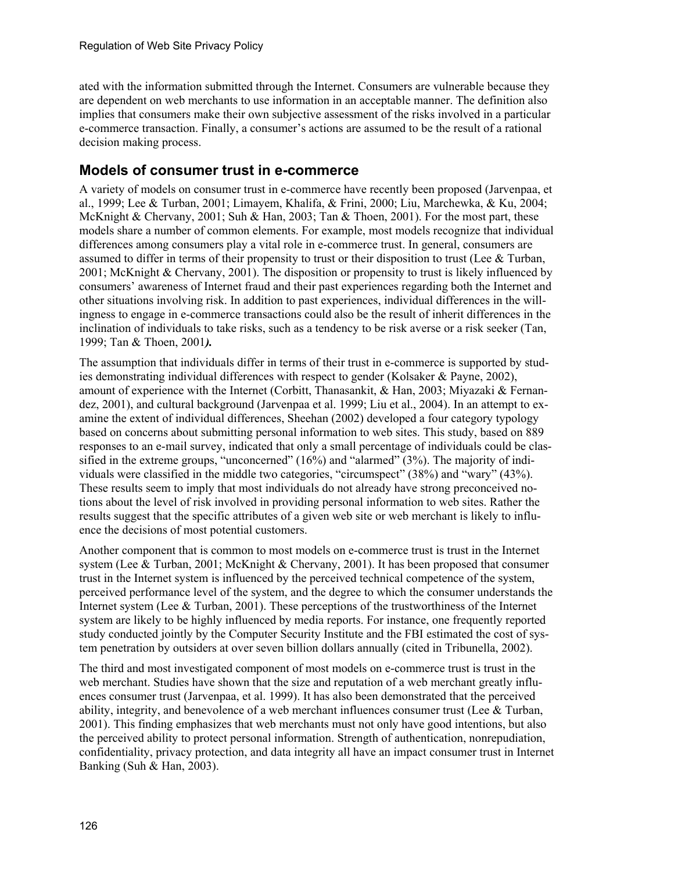ated with the information submitted through the Internet. Consumers are vulnerable because they are dependent on web merchants to use information in an acceptable manner. The definition also implies that consumers make their own subjective assessment of the risks involved in a particular e-commerce transaction. Finally, a consumer's actions are assumed to be the result of a rational decision making process.

### **Models of consumer trust in e-commerce**

A variety of models on consumer trust in e-commerce have recently been proposed (Jarvenpaa, et al., 1999; Lee & Turban, 2001; Limayem, Khalifa, & Frini, 2000; Liu, Marchewka, & Ku, 2004; McKnight & Chervany, 2001; Suh & Han, 2003; Tan & Thoen, 2001). For the most part, these models share a number of common elements. For example, most models recognize that individual differences among consumers play a vital role in e-commerce trust. In general, consumers are assumed to differ in terms of their propensity to trust or their disposition to trust (Lee  $\&$  Turban, 2001; McKnight & Chervany, 2001). The disposition or propensity to trust is likely influenced by consumers' awareness of Internet fraud and their past experiences regarding both the Internet and other situations involving risk. In addition to past experiences, individual differences in the willingness to engage in e-commerce transactions could also be the result of inherit differences in the inclination of individuals to take risks, such as a tendency to be risk averse or a risk seeker (Tan, 1999; Tan & Thoen, 2001*).*

The assumption that individuals differ in terms of their trust in e-commerce is supported by studies demonstrating individual differences with respect to gender (Kolsaker & Payne, 2002), amount of experience with the Internet (Corbitt, Thanasankit, & Han, 2003; Miyazaki & Fernandez, 2001), and cultural background (Jarvenpaa et al. 1999; Liu et al., 2004). In an attempt to examine the extent of individual differences, Sheehan (2002) developed a four category typology based on concerns about submitting personal information to web sites. This study, based on 889 responses to an e-mail survey, indicated that only a small percentage of individuals could be classified in the extreme groups, "unconcerned" (16%) and "alarmed" (3%). The majority of individuals were classified in the middle two categories, "circumspect" (38%) and "wary" (43%). These results seem to imply that most individuals do not already have strong preconceived notions about the level of risk involved in providing personal information to web sites. Rather the results suggest that the specific attributes of a given web site or web merchant is likely to influence the decisions of most potential customers.

Another component that is common to most models on e-commerce trust is trust in the Internet system (Lee & Turban, 2001; McKnight & Chervany, 2001). It has been proposed that consumer trust in the Internet system is influenced by the perceived technical competence of the system, perceived performance level of the system, and the degree to which the consumer understands the Internet system (Lee & Turban, 2001). These perceptions of the trustworthiness of the Internet system are likely to be highly influenced by media reports. For instance, one frequently reported study conducted jointly by the Computer Security Institute and the FBI estimated the cost of system penetration by outsiders at over seven billion dollars annually (cited in Tribunella, 2002).

The third and most investigated component of most models on e-commerce trust is trust in the web merchant. Studies have shown that the size and reputation of a web merchant greatly influences consumer trust (Jarvenpaa, et al. 1999). It has also been demonstrated that the perceived ability, integrity, and benevolence of a web merchant influences consumer trust (Lee  $&$  Turban, 2001). This finding emphasizes that web merchants must not only have good intentions, but also the perceived ability to protect personal information. Strength of authentication, nonrepudiation, confidentiality, privacy protection, and data integrity all have an impact consumer trust in Internet Banking (Suh & Han, 2003).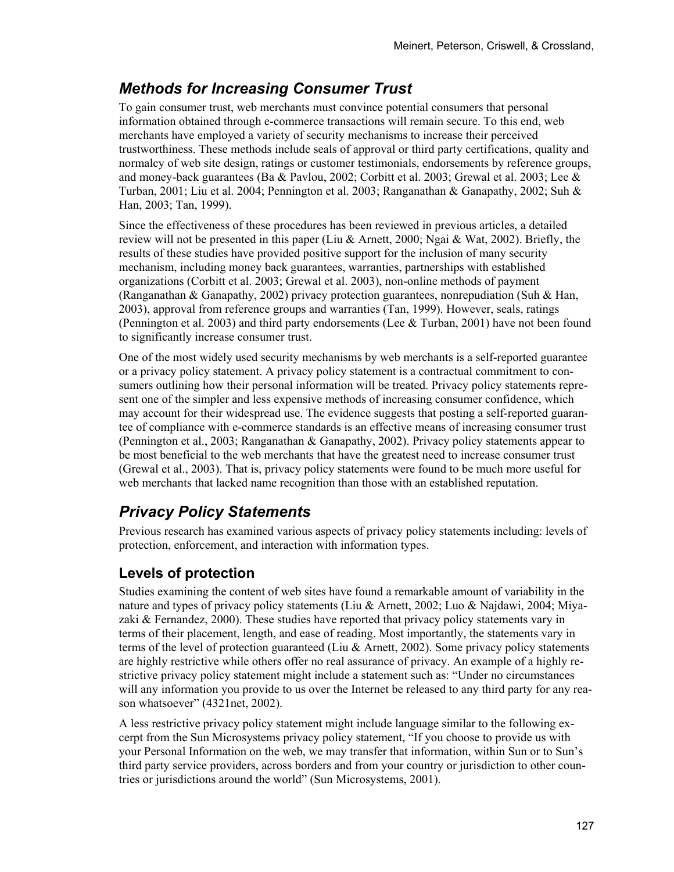## *Methods for Increasing Consumer Trust*

To gain consumer trust, web merchants must convince potential consumers that personal information obtained through e-commerce transactions will remain secure. To this end, web merchants have employed a variety of security mechanisms to increase their perceived trustworthiness. These methods include seals of approval or third party certifications, quality and normalcy of web site design, ratings or customer testimonials, endorsements by reference groups, and money-back guarantees (Ba & Pavlou, 2002; Corbitt et al. 2003; Grewal et al. 2003; Lee & Turban, 2001; Liu et al. 2004; Pennington et al. 2003; Ranganathan & Ganapathy, 2002; Suh & Han, 2003; Tan, 1999).

Since the effectiveness of these procedures has been reviewed in previous articles, a detailed review will not be presented in this paper (Liu & Arnett, 2000; Ngai & Wat, 2002). Briefly, the results of these studies have provided positive support for the inclusion of many security mechanism, including money back guarantees, warranties, partnerships with established organizations (Corbitt et al. 2003; Grewal et al. 2003), non-online methods of payment (Ranganathan & Ganapathy, 2002) privacy protection guarantees, nonrepudiation (Suh & Han, 2003), approval from reference groups and warranties (Tan, 1999). However, seals, ratings (Pennington et al. 2003) and third party endorsements (Lee  $&$  Turban, 2001) have not been found to significantly increase consumer trust.

One of the most widely used security mechanisms by web merchants is a self-reported guarantee or a privacy policy statement. A privacy policy statement is a contractual commitment to consumers outlining how their personal information will be treated. Privacy policy statements represent one of the simpler and less expensive methods of increasing consumer confidence, which may account for their widespread use. The evidence suggests that posting a self-reported guarantee of compliance with e-commerce standards is an effective means of increasing consumer trust (Pennington et al., 2003; Ranganathan & Ganapathy, 2002). Privacy policy statements appear to be most beneficial to the web merchants that have the greatest need to increase consumer trust (Grewal et al., 2003). That is, privacy policy statements were found to be much more useful for web merchants that lacked name recognition than those with an established reputation.

### *Privacy Policy Statements*

Previous research has examined various aspects of privacy policy statements including: levels of protection, enforcement, and interaction with information types.

### **Levels of protection**

Studies examining the content of web sites have found a remarkable amount of variability in the nature and types of privacy policy statements (Liu & Arnett, 2002; Luo & Najdawi, 2004; Miyazaki & Fernandez, 2000). These studies have reported that privacy policy statements vary in terms of their placement, length, and ease of reading. Most importantly, the statements vary in terms of the level of protection guaranteed (Liu  $\&$  Arnett, 2002). Some privacy policy statements are highly restrictive while others offer no real assurance of privacy. An example of a highly restrictive privacy policy statement might include a statement such as: "Under no circumstances will any information you provide to us over the Internet be released to any third party for any reason whatsoever" (4321net, 2002).

A less restrictive privacy policy statement might include language similar to the following excerpt from the Sun Microsystems privacy policy statement, "If you choose to provide us with your Personal Information on the web, we may transfer that information, within Sun or to Sun's third party service providers, across borders and from your country or jurisdiction to other countries or jurisdictions around the world" (Sun Microsystems, 2001).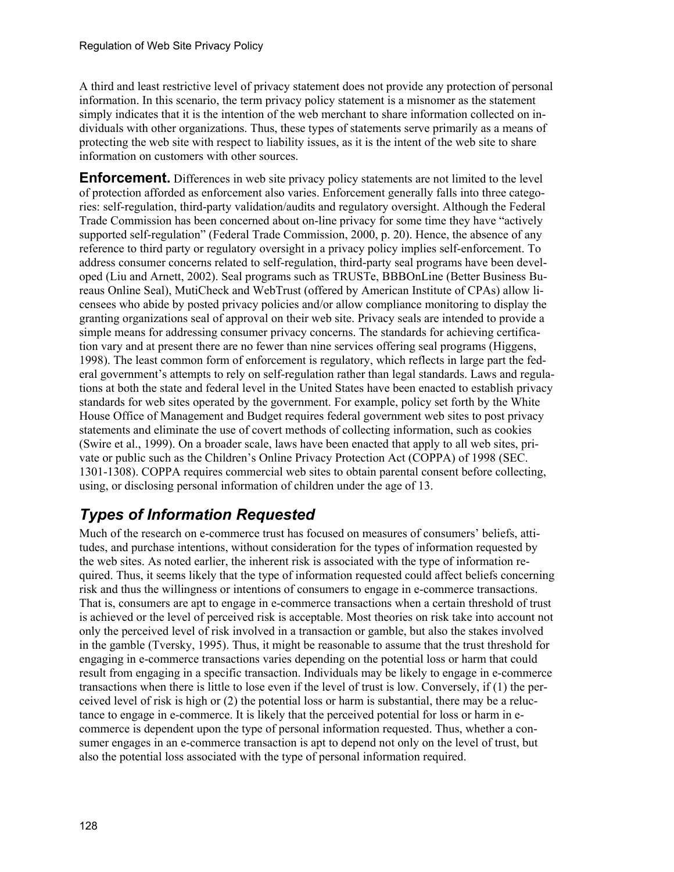A third and least restrictive level of privacy statement does not provide any protection of personal information. In this scenario, the term privacy policy statement is a misnomer as the statement simply indicates that it is the intention of the web merchant to share information collected on individuals with other organizations. Thus, these types of statements serve primarily as a means of protecting the web site with respect to liability issues, as it is the intent of the web site to share information on customers with other sources.

**Enforcement.** Differences in web site privacy policy statements are not limited to the level of protection afforded as enforcement also varies. Enforcement generally falls into three categories: self-regulation, third-party validation/audits and regulatory oversight. Although the Federal Trade Commission has been concerned about on-line privacy for some time they have "actively supported self-regulation" (Federal Trade Commission, 2000, p. 20). Hence, the absence of any reference to third party or regulatory oversight in a privacy policy implies self-enforcement. To address consumer concerns related to self-regulation, third-party seal programs have been developed (Liu and Arnett, 2002). Seal programs such as TRUSTe, BBBOnLine (Better Business Bureaus Online Seal), MutiCheck and WebTrust (offered by American Institute of CPAs) allow licensees who abide by posted privacy policies and/or allow compliance monitoring to display the granting organizations seal of approval on their web site. Privacy seals are intended to provide a simple means for addressing consumer privacy concerns. The standards for achieving certification vary and at present there are no fewer than nine services offering seal programs (Higgens, 1998). The least common form of enforcement is regulatory, which reflects in large part the federal government's attempts to rely on self-regulation rather than legal standards. Laws and regulations at both the state and federal level in the United States have been enacted to establish privacy standards for web sites operated by the government. For example, policy set forth by the White House Office of Management and Budget requires federal government web sites to post privacy statements and eliminate the use of covert methods of collecting information, such as cookies (Swire et al., 1999). On a broader scale, laws have been enacted that apply to all web sites, private or public such as the Children's Online Privacy Protection Act (COPPA) of 1998 (SEC. 1301-1308). COPPA requires commercial web sites to obtain parental consent before collecting, using, or disclosing personal information of children under the age of 13.

# *Types of Information Requested*

Much of the research on e-commerce trust has focused on measures of consumers' beliefs, attitudes, and purchase intentions, without consideration for the types of information requested by the web sites. As noted earlier, the inherent risk is associated with the type of information required. Thus, it seems likely that the type of information requested could affect beliefs concerning risk and thus the willingness or intentions of consumers to engage in e-commerce transactions. That is, consumers are apt to engage in e-commerce transactions when a certain threshold of trust is achieved or the level of perceived risk is acceptable. Most theories on risk take into account not only the perceived level of risk involved in a transaction or gamble, but also the stakes involved in the gamble (Tversky, 1995). Thus, it might be reasonable to assume that the trust threshold for engaging in e-commerce transactions varies depending on the potential loss or harm that could result from engaging in a specific transaction. Individuals may be likely to engage in e-commerce transactions when there is little to lose even if the level of trust is low. Conversely, if (1) the perceived level of risk is high or (2) the potential loss or harm is substantial, there may be a reluctance to engage in e-commerce. It is likely that the perceived potential for loss or harm in ecommerce is dependent upon the type of personal information requested. Thus, whether a consumer engages in an e-commerce transaction is apt to depend not only on the level of trust, but also the potential loss associated with the type of personal information required.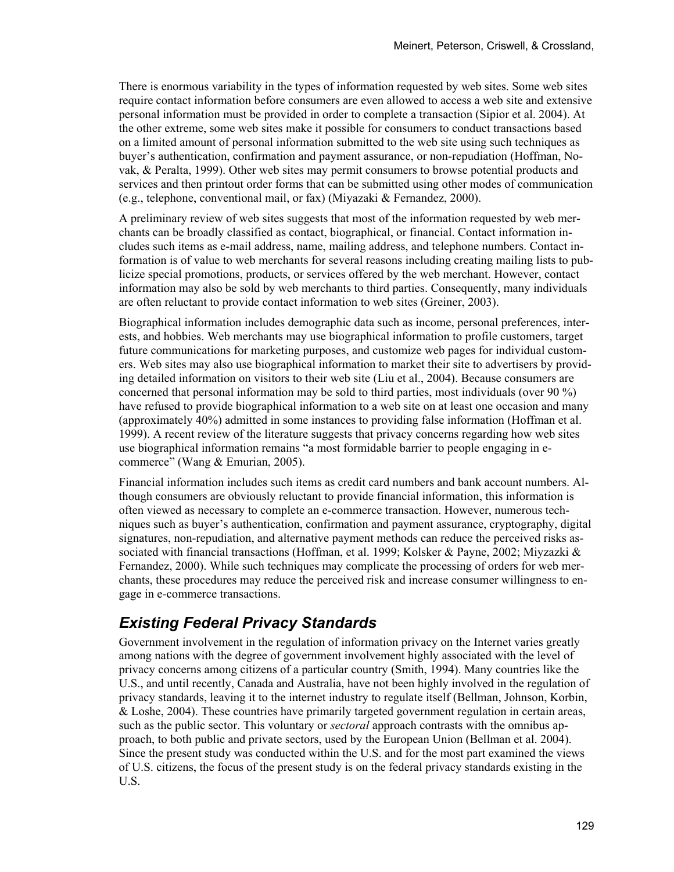There is enormous variability in the types of information requested by web sites. Some web sites require contact information before consumers are even allowed to access a web site and extensive personal information must be provided in order to complete a transaction (Sipior et al. 2004). At the other extreme, some web sites make it possible for consumers to conduct transactions based on a limited amount of personal information submitted to the web site using such techniques as buyer's authentication, confirmation and payment assurance, or non-repudiation (Hoffman, Novak, & Peralta, 1999). Other web sites may permit consumers to browse potential products and services and then printout order forms that can be submitted using other modes of communication (e.g., telephone, conventional mail, or fax) (Miyazaki & Fernandez, 2000).

A preliminary review of web sites suggests that most of the information requested by web merchants can be broadly classified as contact, biographical, or financial. Contact information includes such items as e-mail address, name, mailing address, and telephone numbers. Contact information is of value to web merchants for several reasons including creating mailing lists to publicize special promotions, products, or services offered by the web merchant. However, contact information may also be sold by web merchants to third parties. Consequently, many individuals are often reluctant to provide contact information to web sites (Greiner, 2003).

Biographical information includes demographic data such as income, personal preferences, interests, and hobbies. Web merchants may use biographical information to profile customers, target future communications for marketing purposes, and customize web pages for individual customers. Web sites may also use biographical information to market their site to advertisers by providing detailed information on visitors to their web site (Liu et al., 2004). Because consumers are concerned that personal information may be sold to third parties, most individuals (over 90 %) have refused to provide biographical information to a web site on at least one occasion and many (approximately 40%) admitted in some instances to providing false information (Hoffman et al. 1999). A recent review of the literature suggests that privacy concerns regarding how web sites use biographical information remains "a most formidable barrier to people engaging in ecommerce" (Wang & Emurian, 2005).

Financial information includes such items as credit card numbers and bank account numbers. Although consumers are obviously reluctant to provide financial information, this information is often viewed as necessary to complete an e-commerce transaction. However, numerous techniques such as buyer's authentication, confirmation and payment assurance, cryptography, digital signatures, non-repudiation, and alternative payment methods can reduce the perceived risks associated with financial transactions (Hoffman, et al. 1999; Kolsker & Payne, 2002; Miyzazki & Fernandez, 2000). While such techniques may complicate the processing of orders for web merchants, these procedures may reduce the perceived risk and increase consumer willingness to engage in e-commerce transactions.

### *Existing Federal Privacy Standards*

Government involvement in the regulation of information privacy on the Internet varies greatly among nations with the degree of government involvement highly associated with the level of privacy concerns among citizens of a particular country (Smith, 1994). Many countries like the U.S., and until recently, Canada and Australia, have not been highly involved in the regulation of privacy standards, leaving it to the internet industry to regulate itself (Bellman, Johnson, Korbin,  $&$  Loshe, 2004). These countries have primarily targeted government regulation in certain areas, such as the public sector. This voluntary or *sectoral* approach contrasts with the omnibus approach, to both public and private sectors, used by the European Union (Bellman et al. 2004). Since the present study was conducted within the U.S. and for the most part examined the views of U.S. citizens, the focus of the present study is on the federal privacy standards existing in the U.S.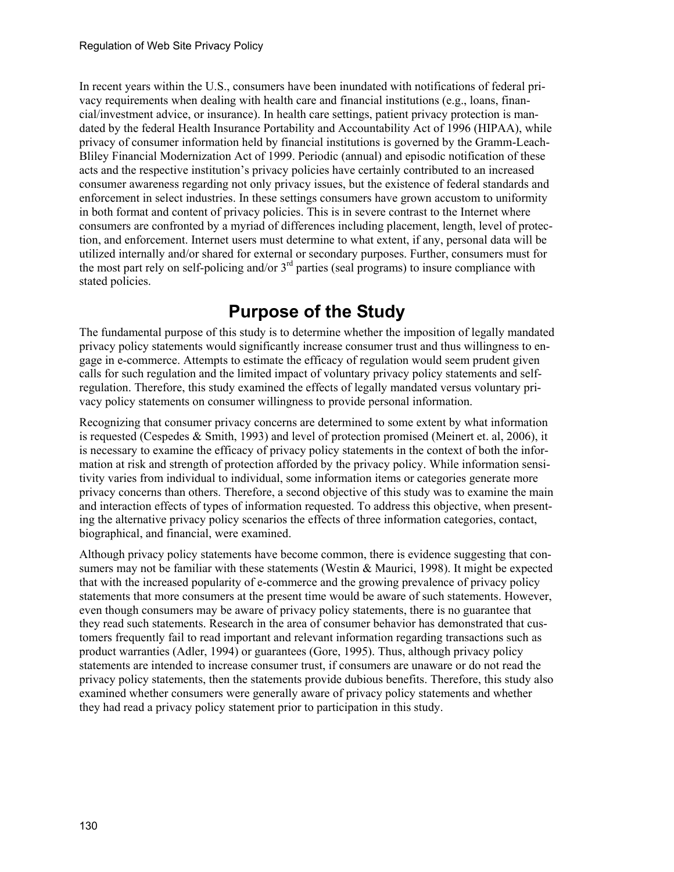In recent years within the U.S., consumers have been inundated with notifications of federal privacy requirements when dealing with health care and financial institutions (e.g., loans, financial/investment advice, or insurance). In health care settings, patient privacy protection is mandated by the federal Health Insurance Portability and Accountability Act of 1996 (HIPAA), while privacy of consumer information held by financial institutions is governed by the Gramm-Leach-Bliley Financial Modernization Act of 1999. Periodic (annual) and episodic notification of these acts and the respective institution's privacy policies have certainly contributed to an increased consumer awareness regarding not only privacy issues, but the existence of federal standards and enforcement in select industries. In these settings consumers have grown accustom to uniformity in both format and content of privacy policies. This is in severe contrast to the Internet where consumers are confronted by a myriad of differences including placement, length, level of protection, and enforcement. Internet users must determine to what extent, if any, personal data will be utilized internally and/or shared for external or secondary purposes. Further, consumers must for the most part rely on self-policing and/or  $3<sup>rd</sup>$  parties (seal programs) to insure compliance with stated policies.

# **Purpose of the Study**

The fundamental purpose of this study is to determine whether the imposition of legally mandated privacy policy statements would significantly increase consumer trust and thus willingness to engage in e-commerce. Attempts to estimate the efficacy of regulation would seem prudent given calls for such regulation and the limited impact of voluntary privacy policy statements and selfregulation. Therefore, this study examined the effects of legally mandated versus voluntary privacy policy statements on consumer willingness to provide personal information.

Recognizing that consumer privacy concerns are determined to some extent by what information is requested (Cespedes & Smith, 1993) and level of protection promised (Meinert et. al, 2006), it is necessary to examine the efficacy of privacy policy statements in the context of both the information at risk and strength of protection afforded by the privacy policy. While information sensitivity varies from individual to individual, some information items or categories generate more privacy concerns than others. Therefore, a second objective of this study was to examine the main and interaction effects of types of information requested. To address this objective, when presenting the alternative privacy policy scenarios the effects of three information categories, contact, biographical, and financial, were examined.

Although privacy policy statements have become common, there is evidence suggesting that consumers may not be familiar with these statements (Westin & Maurici, 1998). It might be expected that with the increased popularity of e-commerce and the growing prevalence of privacy policy statements that more consumers at the present time would be aware of such statements. However, even though consumers may be aware of privacy policy statements, there is no guarantee that they read such statements. Research in the area of consumer behavior has demonstrated that customers frequently fail to read important and relevant information regarding transactions such as product warranties (Adler, 1994) or guarantees (Gore, 1995). Thus, although privacy policy statements are intended to increase consumer trust, if consumers are unaware or do not read the privacy policy statements, then the statements provide dubious benefits. Therefore, this study also examined whether consumers were generally aware of privacy policy statements and whether they had read a privacy policy statement prior to participation in this study.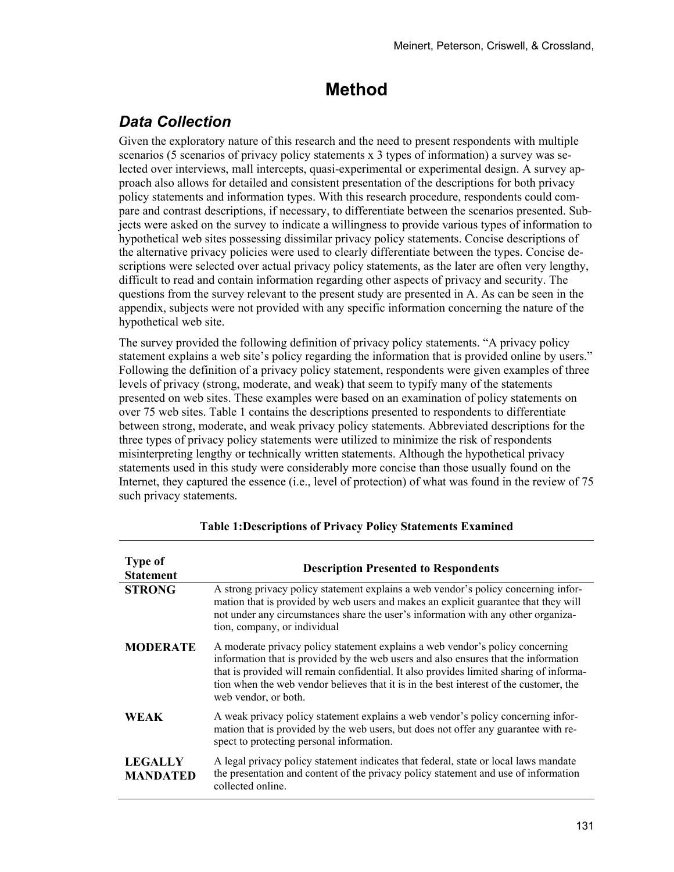# **Method**

## *Data Collection*

Given the exploratory nature of this research and the need to present respondents with multiple scenarios (5 scenarios of privacy policy statements x 3 types of information) a survey was selected over interviews, mall intercepts, quasi-experimental or experimental design. A survey approach also allows for detailed and consistent presentation of the descriptions for both privacy policy statements and information types. With this research procedure, respondents could compare and contrast descriptions, if necessary, to differentiate between the scenarios presented. Subjects were asked on the survey to indicate a willingness to provide various types of information to hypothetical web sites possessing dissimilar privacy policy statements. Concise descriptions of the alternative privacy policies were used to clearly differentiate between the types. Concise descriptions were selected over actual privacy policy statements, as the later are often very lengthy, difficult to read and contain information regarding other aspects of privacy and security. The questions from the survey relevant to the present study are presented in A. As can be seen in the appendix, subjects were not provided with any specific information concerning the nature of the hypothetical web site.

The survey provided the following definition of privacy policy statements. "A privacy policy statement explains a web site's policy regarding the information that is provided online by users." Following the definition of a privacy policy statement, respondents were given examples of three levels of privacy (strong, moderate, and weak) that seem to typify many of the statements presented on web sites. These examples were based on an examination of policy statements on over 75 web sites. Table 1 contains the descriptions presented to respondents to differentiate between strong, moderate, and weak privacy policy statements. Abbreviated descriptions for the three types of privacy policy statements were utilized to minimize the risk of respondents misinterpreting lengthy or technically written statements. Although the hypothetical privacy statements used in this study were considerably more concise than those usually found on the Internet, they captured the essence (i.e., level of protection) of what was found in the review of 75 such privacy statements.

| <b>Type of</b><br><b>Statement</b> | <b>Description Presented to Respondents</b>                                                                                                                                                                                                                                                                                                                                       |
|------------------------------------|-----------------------------------------------------------------------------------------------------------------------------------------------------------------------------------------------------------------------------------------------------------------------------------------------------------------------------------------------------------------------------------|
| <b>STRONG</b>                      | A strong privacy policy statement explains a web vendor's policy concerning infor-<br>mation that is provided by web users and makes an explicit guarantee that they will<br>not under any circumstances share the user's information with any other organiza-<br>tion, company, or individual                                                                                    |
| <b>MODERATE</b>                    | A moderate privacy policy statement explains a web vendor's policy concerning<br>information that is provided by the web users and also ensures that the information<br>that is provided will remain confidential. It also provides limited sharing of informa-<br>tion when the web vendor believes that it is in the best interest of the customer, the<br>web vendor, or both. |
| <b>WEAK</b>                        | A weak privacy policy statement explains a web vendor's policy concerning infor-<br>mation that is provided by the web users, but does not offer any guarantee with re-<br>spect to protecting personal information.                                                                                                                                                              |
| <b>LEGALLY</b><br><b>MANDATED</b>  | A legal privacy policy statement indicates that federal, state or local laws mandate<br>the presentation and content of the privacy policy statement and use of information<br>collected online.                                                                                                                                                                                  |

### **Table 1:Descriptions of Privacy Policy Statements Examined**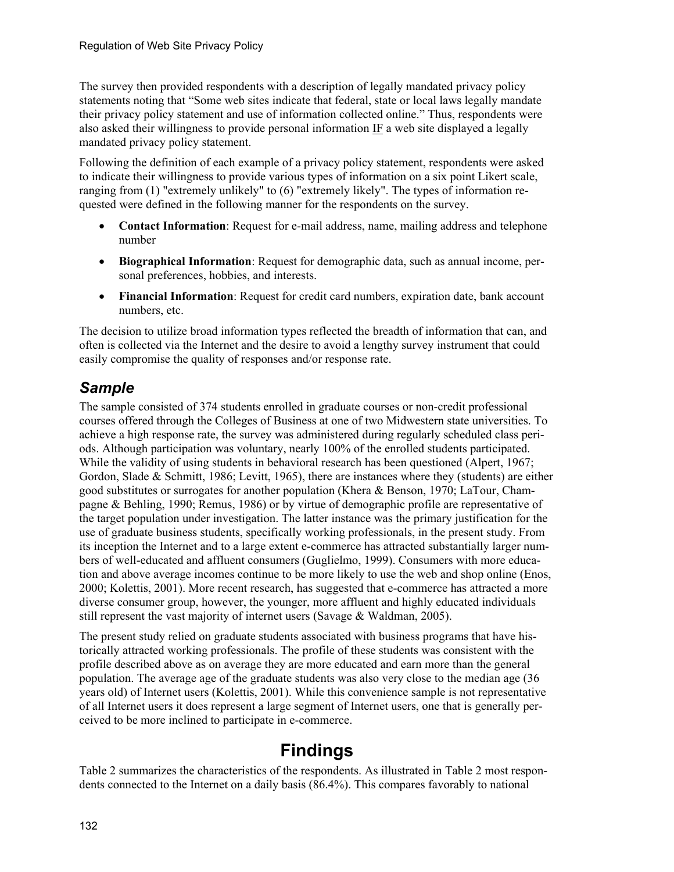The survey then provided respondents with a description of legally mandated privacy policy statements noting that "Some web sites indicate that federal, state or local laws legally mandate their privacy policy statement and use of information collected online." Thus, respondents were also asked their willingness to provide personal information IF a web site displayed a legally mandated privacy policy statement.

Following the definition of each example of a privacy policy statement, respondents were asked to indicate their willingness to provide various types of information on a six point Likert scale, ranging from (1) "extremely unlikely" to (6) "extremely likely". The types of information requested were defined in the following manner for the respondents on the survey.

- **Contact Information**: Request for e-mail address, name, mailing address and telephone number
- **Biographical Information**: Request for demographic data, such as annual income, personal preferences, hobbies, and interests.
- **Financial Information**: Request for credit card numbers, expiration date, bank account numbers, etc.

The decision to utilize broad information types reflected the breadth of information that can, and often is collected via the Internet and the desire to avoid a lengthy survey instrument that could easily compromise the quality of responses and/or response rate.

### *Sample*

The sample consisted of 374 students enrolled in graduate courses or non-credit professional courses offered through the Colleges of Business at one of two Midwestern state universities. To achieve a high response rate, the survey was administered during regularly scheduled class periods. Although participation was voluntary, nearly 100% of the enrolled students participated. While the validity of using students in behavioral research has been questioned (Alpert, 1967; Gordon, Slade & Schmitt, 1986; Levitt, 1965), there are instances where they (students) are either good substitutes or surrogates for another population (Khera & Benson, 1970; LaTour, Champagne & Behling, 1990; Remus, 1986) or by virtue of demographic profile are representative of the target population under investigation. The latter instance was the primary justification for the use of graduate business students, specifically working professionals, in the present study. From its inception the Internet and to a large extent e-commerce has attracted substantially larger numbers of well-educated and affluent consumers (Guglielmo, 1999). Consumers with more education and above average incomes continue to be more likely to use the web and shop online (Enos, 2000; Kolettis, 2001). More recent research, has suggested that e-commerce has attracted a more diverse consumer group, however, the younger, more affluent and highly educated individuals still represent the vast majority of internet users (Savage & Waldman, 2005).

The present study relied on graduate students associated with business programs that have historically attracted working professionals. The profile of these students was consistent with the profile described above as on average they are more educated and earn more than the general population. The average age of the graduate students was also very close to the median age (36 years old) of Internet users (Kolettis, 2001). While this convenience sample is not representative of all Internet users it does represent a large segment of Internet users, one that is generally perceived to be more inclined to participate in e-commerce.

# **Findings**

Table 2 summarizes the characteristics of the respondents. As illustrated in Table 2 most respondents connected to the Internet on a daily basis (86.4%). This compares favorably to national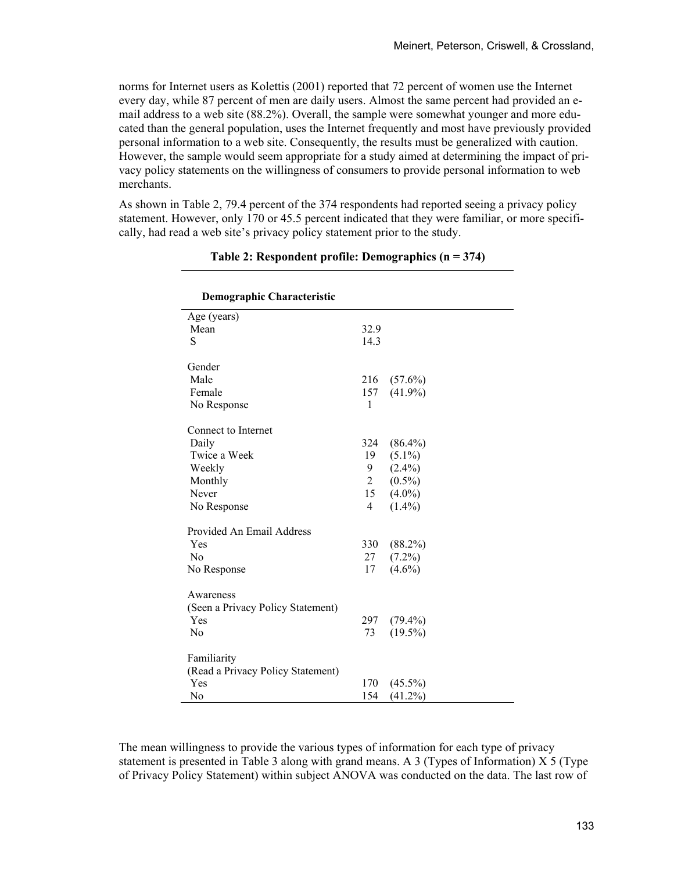norms for Internet users as Kolettis (2001) reported that 72 percent of women use the Internet every day, while 87 percent of men are daily users. Almost the same percent had provided an email address to a web site (88.2%). Overall, the sample were somewhat younger and more educated than the general population, uses the Internet frequently and most have previously provided personal information to a web site. Consequently, the results must be generalized with caution. However, the sample would seem appropriate for a study aimed at determining the impact of privacy policy statements on the willingness of consumers to provide personal information to web merchants.

As shown in Table 2, 79.4 percent of the 374 respondents had reported seeing a privacy policy statement. However, only 170 or 45.5 percent indicated that they were familiar, or more specifically, had read a web site's privacy policy statement prior to the study.

| <b>Demographic Characteristic</b> |                |            |  |
|-----------------------------------|----------------|------------|--|
| Age (years)                       |                |            |  |
| Mean                              | 32.9           |            |  |
| S                                 | 14.3           |            |  |
| Gender                            |                |            |  |
| Male                              | 216            | $(57.6\%)$ |  |
| Female                            | 157            | $(41.9\%)$ |  |
| No Response                       | $\mathbf{1}$   |            |  |
|                                   |                |            |  |
| Connect to Internet               |                |            |  |
| Daily                             | 324            | $(86.4\%)$ |  |
| Twice a Week                      | 19             | $(5.1\%)$  |  |
| Weekly                            | 9              | $(2.4\%)$  |  |
| Monthly                           | $\mathbf{2}$   | $(0.5\%)$  |  |
| Never                             | 15             | $(4.0\%)$  |  |
| No Response                       | $\overline{4}$ | $(1.4\%)$  |  |
| Provided An Email Address         |                |            |  |
| Yes                               | 330            | $(88.2\%)$ |  |
| N <sub>0</sub>                    | 27             | $(7.2\%)$  |  |
| No Response                       | 17             | $(4.6\%)$  |  |
| Awareness                         |                |            |  |
| (Seen a Privacy Policy Statement) |                |            |  |
| Yes                               | 297            | $(79.4\%)$ |  |
| No                                | 73             | $(19.5\%)$ |  |
|                                   |                |            |  |
| Familiarity                       |                |            |  |
| (Read a Privacy Policy Statement) |                |            |  |
| Yes                               | 170            | $(45.5\%)$ |  |
| No                                | 154            | $(41.2\%)$ |  |

### **Table 2: Respondent profile: Demographics (n = 374)**

The mean willingness to provide the various types of information for each type of privacy statement is presented in Table 3 along with grand means. A 3 (Types of Information) X 5 (Type of Privacy Policy Statement) within subject ANOVA was conducted on the data. The last row of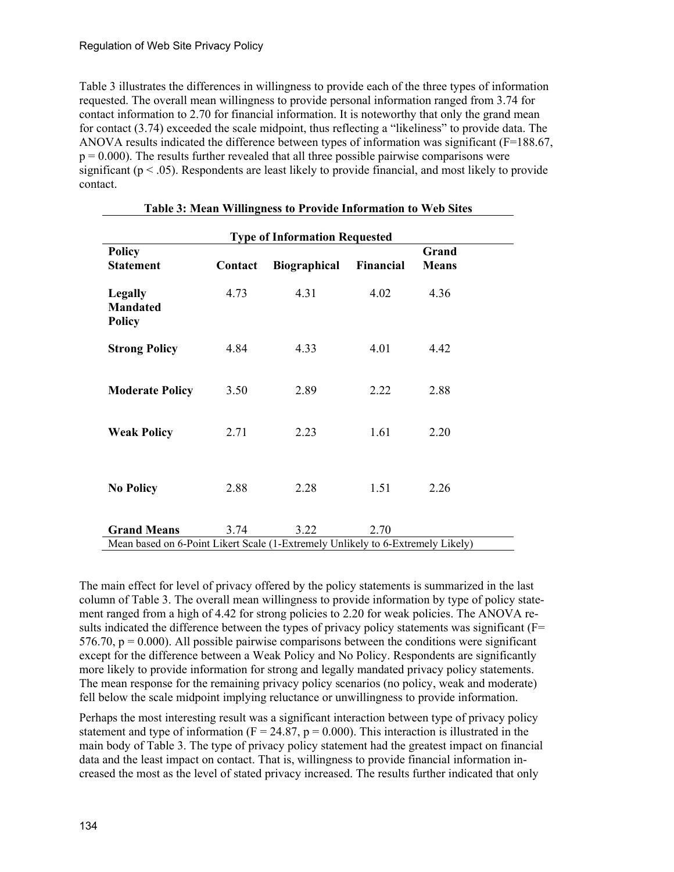Table 3 illustrates the differences in willingness to provide each of the three types of information requested. The overall mean willingness to provide personal information ranged from 3.74 for contact information to 2.70 for financial information. It is noteworthy that only the grand mean for contact (3.74) exceeded the scale midpoint, thus reflecting a "likeliness" to provide data. The ANOVA results indicated the difference between types of information was significant (F=188.67,  $p = 0.000$ . The results further revealed that all three possible pairwise comparisons were significant ( $p < .05$ ). Respondents are least likely to provide financial, and most likely to provide contact.

| <b>Type of Information Requested</b>                                            |         |                     |                  |                       |  |  |  |
|---------------------------------------------------------------------------------|---------|---------------------|------------------|-----------------------|--|--|--|
| <b>Policy</b><br><b>Statement</b>                                               | Contact | <b>Biographical</b> | <b>Financial</b> | Grand<br><b>Means</b> |  |  |  |
| <b>Legally</b><br><b>Mandated</b><br><b>Policy</b>                              | 4.73    | 4.31                | 4.02             | 4.36                  |  |  |  |
| <b>Strong Policy</b>                                                            | 4.84    | 4.33                | 4.01             | 4.42                  |  |  |  |
| <b>Moderate Policy</b>                                                          | 3.50    | 2.89                | 2.22             | 2.88                  |  |  |  |
| <b>Weak Policy</b>                                                              | 2.71    | 2.23                | 1.61             | 2.20                  |  |  |  |
| <b>No Policy</b>                                                                | 2.88    | 2.28                | 1.51             | 2.26                  |  |  |  |
| <b>Grand Means</b>                                                              | 3.74    | 3.22                | 2.70             |                       |  |  |  |
| Mean based on 6-Point Likert Scale (1-Extremely Unlikely to 6-Extremely Likely) |         |                     |                  |                       |  |  |  |

| Table 3: Mean Willingness to Provide Information to Web Sites |  |  |  |
|---------------------------------------------------------------|--|--|--|
|                                                               |  |  |  |

The main effect for level of privacy offered by the policy statements is summarized in the last column of Table 3. The overall mean willingness to provide information by type of policy statement ranged from a high of 4.42 for strong policies to 2.20 for weak policies. The ANOVA results indicated the difference between the types of privacy policy statements was significant ( $F=$ 576.70,  $p = 0.000$ ). All possible pairwise comparisons between the conditions were significant except for the difference between a Weak Policy and No Policy. Respondents are significantly more likely to provide information for strong and legally mandated privacy policy statements. The mean response for the remaining privacy policy scenarios (no policy, weak and moderate) fell below the scale midpoint implying reluctance or unwillingness to provide information.

Perhaps the most interesting result was a significant interaction between type of privacy policy statement and type of information ( $F = 24.87$ ,  $p = 0.000$ ). This interaction is illustrated in the main body of Table 3. The type of privacy policy statement had the greatest impact on financial data and the least impact on contact. That is, willingness to provide financial information increased the most as the level of stated privacy increased. The results further indicated that only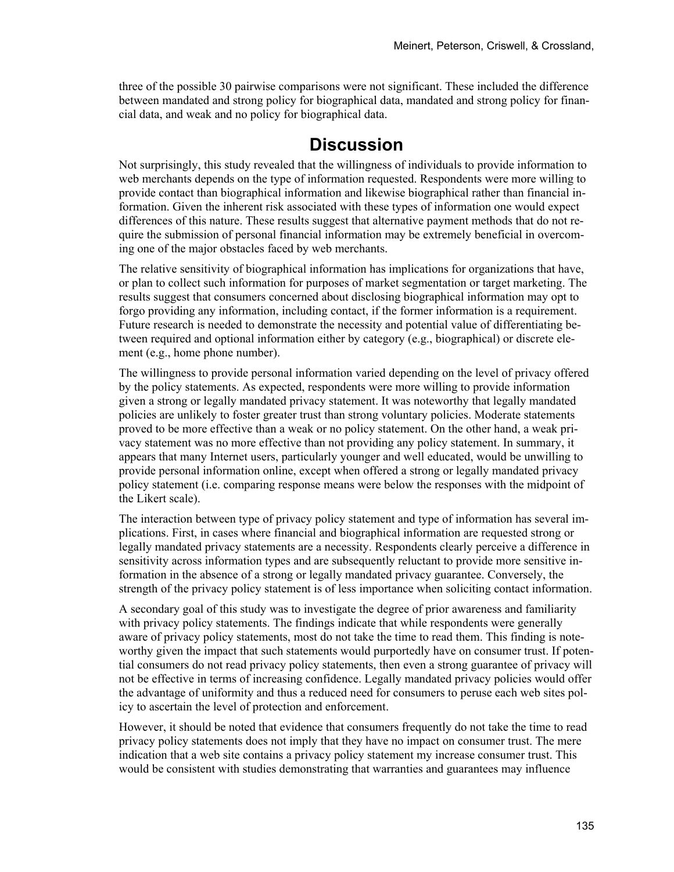three of the possible 30 pairwise comparisons were not significant. These included the difference between mandated and strong policy for biographical data, mandated and strong policy for financial data, and weak and no policy for biographical data.

## **Discussion**

Not surprisingly, this study revealed that the willingness of individuals to provide information to web merchants depends on the type of information requested. Respondents were more willing to provide contact than biographical information and likewise biographical rather than financial information. Given the inherent risk associated with these types of information one would expect differences of this nature. These results suggest that alternative payment methods that do not require the submission of personal financial information may be extremely beneficial in overcoming one of the major obstacles faced by web merchants.

The relative sensitivity of biographical information has implications for organizations that have, or plan to collect such information for purposes of market segmentation or target marketing. The results suggest that consumers concerned about disclosing biographical information may opt to forgo providing any information, including contact, if the former information is a requirement. Future research is needed to demonstrate the necessity and potential value of differentiating between required and optional information either by category (e.g., biographical) or discrete element (e.g., home phone number).

The willingness to provide personal information varied depending on the level of privacy offered by the policy statements. As expected, respondents were more willing to provide information given a strong or legally mandated privacy statement. It was noteworthy that legally mandated policies are unlikely to foster greater trust than strong voluntary policies. Moderate statements proved to be more effective than a weak or no policy statement. On the other hand, a weak privacy statement was no more effective than not providing any policy statement. In summary, it appears that many Internet users, particularly younger and well educated, would be unwilling to provide personal information online, except when offered a strong or legally mandated privacy policy statement (i.e. comparing response means were below the responses with the midpoint of the Likert scale).

The interaction between type of privacy policy statement and type of information has several implications. First, in cases where financial and biographical information are requested strong or legally mandated privacy statements are a necessity. Respondents clearly perceive a difference in sensitivity across information types and are subsequently reluctant to provide more sensitive information in the absence of a strong or legally mandated privacy guarantee. Conversely, the strength of the privacy policy statement is of less importance when soliciting contact information.

A secondary goal of this study was to investigate the degree of prior awareness and familiarity with privacy policy statements. The findings indicate that while respondents were generally aware of privacy policy statements, most do not take the time to read them. This finding is noteworthy given the impact that such statements would purportedly have on consumer trust. If potential consumers do not read privacy policy statements, then even a strong guarantee of privacy will not be effective in terms of increasing confidence. Legally mandated privacy policies would offer the advantage of uniformity and thus a reduced need for consumers to peruse each web sites policy to ascertain the level of protection and enforcement.

However, it should be noted that evidence that consumers frequently do not take the time to read privacy policy statements does not imply that they have no impact on consumer trust. The mere indication that a web site contains a privacy policy statement my increase consumer trust. This would be consistent with studies demonstrating that warranties and guarantees may influence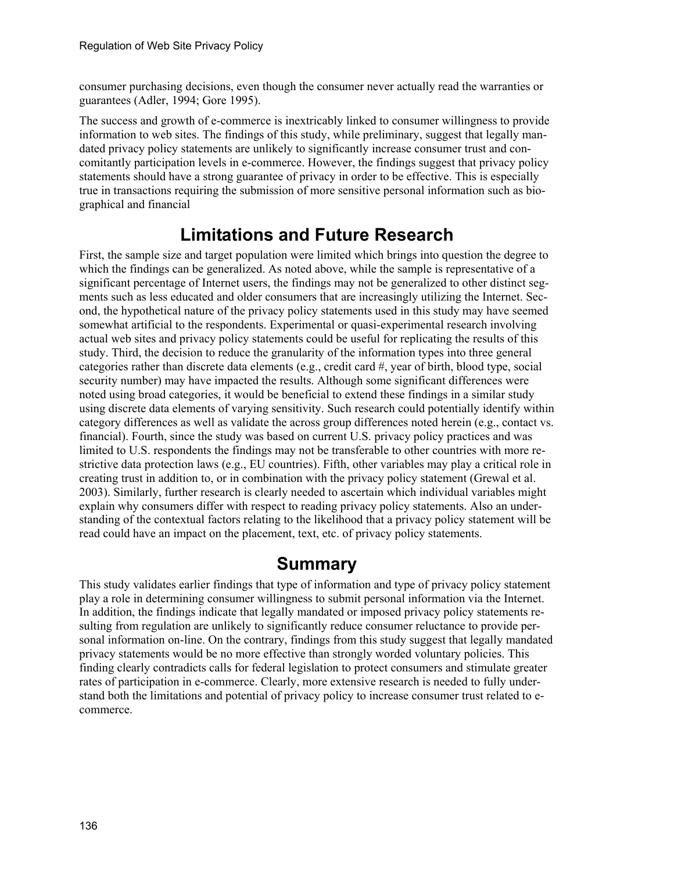consumer purchasing decisions, even though the consumer never actually read the warranties or guarantees (Adler, 1994; Gore 1995).

The success and growth of e-commerce is inextricably linked to consumer willingness to provide information to web sites. The findings of this study, while preliminary, suggest that legally mandated privacy policy statements are unlikely to significantly increase consumer trust and concomitantly participation levels in e-commerce. However, the findings suggest that privacy policy statements should have a strong guarantee of privacy in order to be effective. This is especially true in transactions requiring the submission of more sensitive personal information such as biographical and financial

# **Limitations and Future Research**

First, the sample size and target population were limited which brings into question the degree to which the findings can be generalized. As noted above, while the sample is representative of a significant percentage of Internet users, the findings may not be generalized to other distinct segments such as less educated and older consumers that are increasingly utilizing the Internet. Second, the hypothetical nature of the privacy policy statements used in this study may have seemed somewhat artificial to the respondents. Experimental or quasi-experimental research involving actual web sites and privacy policy statements could be useful for replicating the results of this study. Third, the decision to reduce the granularity of the information types into three general categories rather than discrete data elements (e.g., credit card #, year of birth, blood type, social security number) may have impacted the results. Although some significant differences were noted using broad categories, it would be beneficial to extend these findings in a similar study using discrete data elements of varying sensitivity. Such research could potentially identify within category differences as well as validate the across group differences noted herein (e.g., contact vs. financial). Fourth, since the study was based on current U.S. privacy policy practices and was limited to U.S. respondents the findings may not be transferable to other countries with more restrictive data protection laws (e.g., EU countries). Fifth, other variables may play a critical role in creating trust in addition to, or in combination with the privacy policy statement (Grewal et al. 2003). Similarly, further research is clearly needed to ascertain which individual variables might explain why consumers differ with respect to reading privacy policy statements. Also an understanding of the contextual factors relating to the likelihood that a privacy policy statement will be read could have an impact on the placement, text, etc. of privacy policy statements.

# **Summary**

This study validates earlier findings that type of information and type of privacy policy statement play a role in determining consumer willingness to submit personal information via the Internet. In addition, the findings indicate that legally mandated or imposed privacy policy statements resulting from regulation are unlikely to significantly reduce consumer reluctance to provide personal information on-line. On the contrary, findings from this study suggest that legally mandated privacy statements would be no more effective than strongly worded voluntary policies. This finding clearly contradicts calls for federal legislation to protect consumers and stimulate greater rates of participation in e-commerce. Clearly, more extensive research is needed to fully understand both the limitations and potential of privacy policy to increase consumer trust related to ecommerce.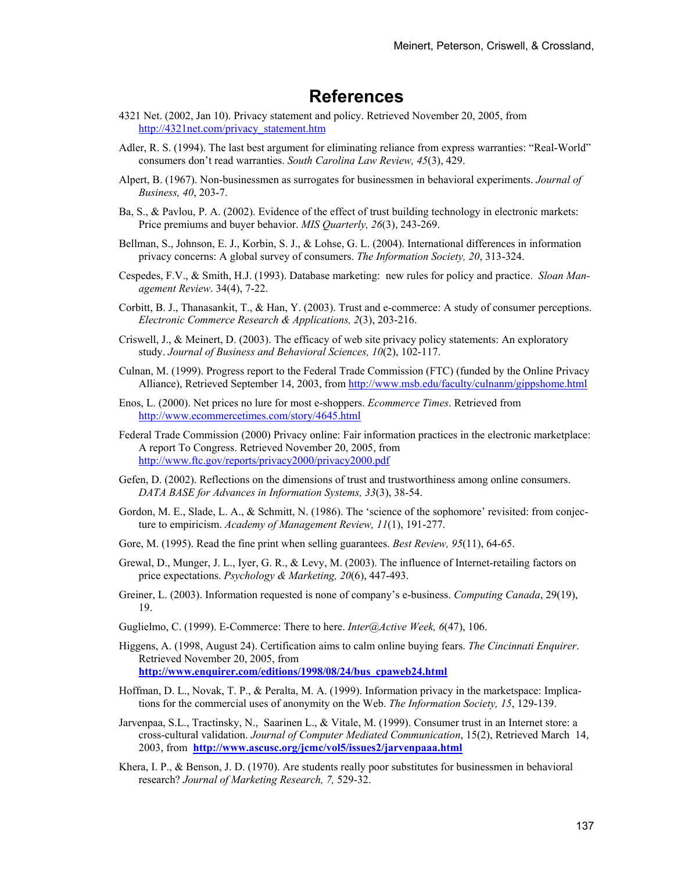### **References**

- 4321 Net. (2002, Jan 10). Privacy statement and policy. Retrieved November 20, 2005, from http://4321net.com/privacy\_statement.htm
- Adler, R. S. (1994). The last best argument for eliminating reliance from express warranties: "Real-World" consumers don't read warranties. *South Carolina Law Review, 45*(3), 429.
- Alpert, B. (1967). Non-businessmen as surrogates for businessmen in behavioral experiments. *Journal of Business, 40*, 203-7.
- Ba, S., & Pavlou, P. A. (2002). Evidence of the effect of trust building technology in electronic markets: Price premiums and buyer behavior. *MIS Quarterly, 26*(3), 243-269.
- Bellman, S., Johnson, E. J., Korbin, S. J., & Lohse, G. L. (2004). International differences in information privacy concerns: A global survey of consumers. *The Information Society, 20*, 313-324.
- Cespedes, F.V., & Smith, H.J. (1993). Database marketing: new rules for policy and practice. *Sloan Management Review*. 34(4), 7-22.
- Corbitt, B. J., Thanasankit, T., & Han, Y. (2003). Trust and e-commerce: A study of consumer perceptions. *Electronic Commerce Research & Applications, 2*(3), 203-216.
- Criswell, J., & Meinert, D. (2003). The efficacy of web site privacy policy statements: An exploratory study. *Journal of Business and Behavioral Sciences, 10*(2), 102-117.
- Culnan, M. (1999). Progress report to the Federal Trade Commission (FTC) (funded by the Online Privacy Alliance), Retrieved September 14, 2003, from http://www.msb.edu/faculty/culnanm/gippshome.html
- Enos, L. (2000). Net prices no lure for most e-shoppers. *Ecommerce Times*. Retrieved from http://www.ecommercetimes.com/story/4645.html
- Federal Trade Commission (2000) Privacy online: Fair information practices in the electronic marketplace: A report To Congress. Retrieved November 20, 2005, from http://www.ftc.gov/reports/privacy2000/privacy2000.pdf
- Gefen, D. (2002). Reflections on the dimensions of trust and trustworthiness among online consumers. *DATA BASE for Advances in Information Systems, 33*(3), 38-54.
- Gordon, M. E., Slade, L. A., & Schmitt, N. (1986). The 'science of the sophomore' revisited: from conjecture to empiricism. *Academy of Management Review, 11*(1), 191-277.
- Gore, M. (1995). Read the fine print when selling guarantees. *Best Review, 95*(11), 64-65.
- Grewal, D., Munger, J. L., Iyer, G. R., & Levy, M. (2003). The influence of Internet-retailing factors on price expectations. *Psychology & Marketing, 20*(6), 447-493.
- Greiner, L. (2003). Information requested is none of company's e-business. *Computing Canada*, 29(19), 19.
- Guglielmo, C. (1999). E-Commerce: There to here. *Inter@Active Week, 6*(47), 106.
- Higgens, A. (1998, August 24). Certification aims to calm online buying fears. *The Cincinnati Enquirer*. Retrieved November 20, 2005, from **http://www.enquirer.com/editions/1998/08/24/bus\_cpaweb24.html**
- Hoffman, D. L., Novak, T. P., & Peralta, M. A. (1999). Information privacy in the marketspace: Implications for the commercial uses of anonymity on the Web. *The Information Society, 15*, 129-139.
- Jarvenpaa, S.L., Tractinsky, N., Saarinen L., & Vitale, M. (1999). Consumer trust in an Internet store: a cross-cultural validation. *Journal of Computer Mediated Communication*, 15(2), Retrieved March 14, 2003, from **http://www.ascusc.org/jcmc/vol5/issues2/jarvenpaaa.html**
- Khera, I. P., & Benson, J. D. (1970). Are students really poor substitutes for businessmen in behavioral research? *Journal of Marketing Research, 7,* 529-32.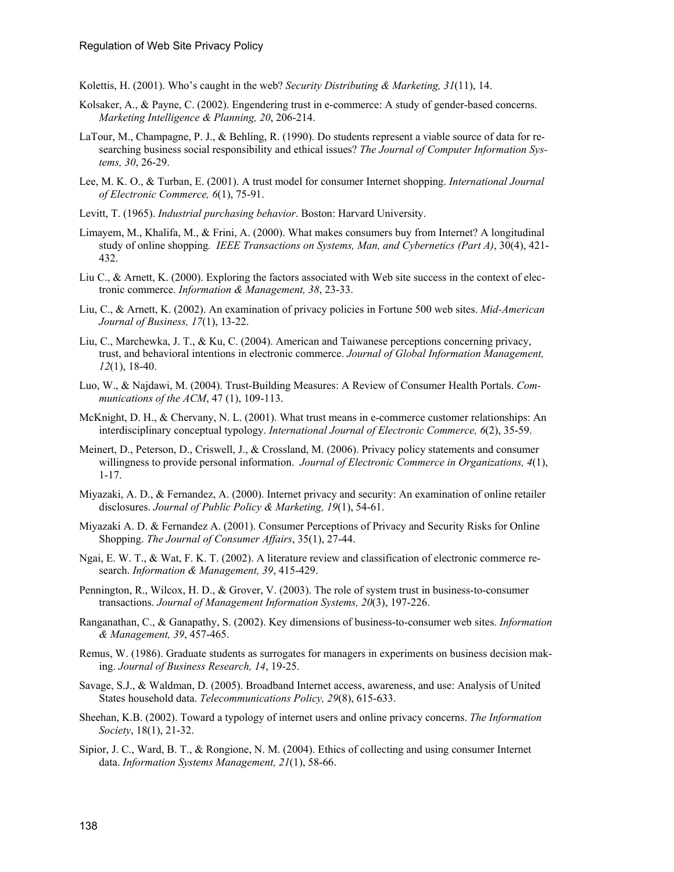- Kolettis, H. (2001). Who's caught in the web? *Security Distributing & Marketing, 31*(11), 14.
- Kolsaker, A., & Payne, C. (2002). Engendering trust in e-commerce: A study of gender-based concerns. *Marketing Intelligence & Planning, 20*, 206-214.
- LaTour, M., Champagne, P. J., & Behling, R. (1990). Do students represent a viable source of data for researching business social responsibility and ethical issues? *The Journal of Computer Information Systems, 30*, 26-29.
- Lee, M. K. O., & Turban, E. (2001). A trust model for consumer Internet shopping. *International Journal of Electronic Commerce, 6*(1), 75-91.
- Levitt, T. (1965). *Industrial purchasing behavior*. Boston: Harvard University.
- Limayem, M., Khalifa, M., & Frini, A. (2000). What makes consumers buy from Internet? A longitudinal study of online shopping*. IEEE Transactions on Systems, Man, and Cybernetics (Part A)*, 30(4), 421- 432.
- Liu C., & Arnett, K. (2000). Exploring the factors associated with Web site success in the context of electronic commerce. *Information & Management, 38*, 23-33.
- Liu, C., & Arnett, K. (2002). An examination of privacy policies in Fortune 500 web sites. *Mid-American Journal of Business, 17*(1), 13-22.
- Liu, C., Marchewka, J. T., & Ku, C. (2004). American and Taiwanese perceptions concerning privacy, trust, and behavioral intentions in electronic commerce. *Journal of Global Information Management, 12*(1), 18-40.
- Luo, W., & Najdawi, M. (2004). Trust-Building Measures: A Review of Consumer Health Portals. *Communications of the ACM*, 47 (1), 109-113.
- McKnight, D. H., & Chervany, N. L. (2001). What trust means in e-commerce customer relationships: An interdisciplinary conceptual typology. *International Journal of Electronic Commerce, 6*(2), 35-59.
- Meinert, D., Peterson, D., Criswell, J., & Crossland, M. (2006). Privacy policy statements and consumer willingness to provide personal information. *Journal of Electronic Commerce in Organizations, 4*(1), 1-17.
- Miyazaki, A. D., & Fernandez, A. (2000). Internet privacy and security: An examination of online retailer disclosures. *Journal of Public Policy & Marketing, 19*(1), 54-61.
- Miyazaki A. D. & Fernandez A. (2001). Consumer Perceptions of Privacy and Security Risks for Online Shopping. *The Journal of Consumer Affairs*, 35(1), 27-44.
- Ngai, E. W. T., & Wat, F. K. T. (2002). A literature review and classification of electronic commerce research. *Information & Management, 39*, 415-429.
- Pennington, R., Wilcox, H. D., & Grover, V. (2003). The role of system trust in business-to-consumer transactions. *Journal of Management Information Systems, 20*(3), 197-226.
- Ranganathan, C., & Ganapathy, S. (2002). Key dimensions of business-to-consumer web sites. *Information & Management, 39*, 457-465.
- Remus, W. (1986). Graduate students as surrogates for managers in experiments on business decision making. *Journal of Business Research, 14*, 19-25.
- Savage, S.J., & Waldman, D. (2005). Broadband Internet access, awareness, and use: Analysis of United States household data. *Telecommunications Policy, 29*(8), 615-633.
- Sheehan, K.B. (2002). Toward a typology of internet users and online privacy concerns. *The Information Society*, 18(1), 21-32.
- Sipior, J. C., Ward, B. T., & Rongione, N. M. (2004). Ethics of collecting and using consumer Internet data. *Information Systems Management, 21*(1), 58-66.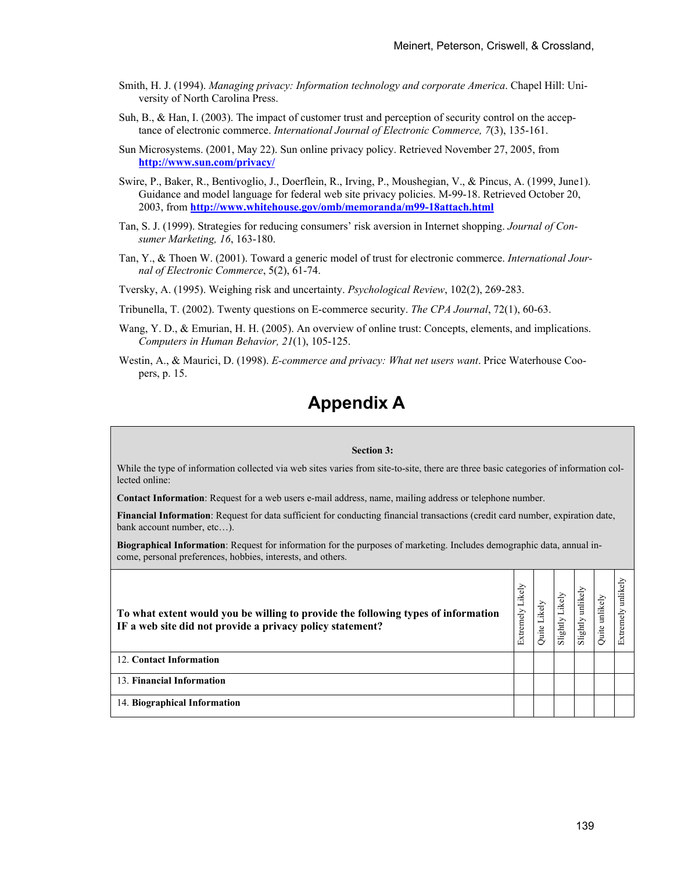- Smith, H. J. (1994). *Managing privacy: Information technology and corporate America*. Chapel Hill: University of North Carolina Press.
- Suh, B., & Han, I. (2003). The impact of customer trust and perception of security control on the acceptance of electronic commerce. *International Journal of Electronic Commerce, 7*(3), 135-161.
- Sun Microsystems. (2001, May 22). Sun online privacy policy. Retrieved November 27, 2005, from **http://www.sun.com/privacy/**
- Swire, P., Baker, R., Bentivoglio, J., Doerflein, R., Irving, P., Moushegian, V., & Pincus, A. (1999, June1). Guidance and model language for federal web site privacy policies. M-99-18. Retrieved October 20, 2003, from **http://www.whitehouse.gov/omb/memoranda/m99-18attach.html**
- Tan, S. J. (1999). Strategies for reducing consumers' risk aversion in Internet shopping. *Journal of Consumer Marketing, 16*, 163-180.
- Tan, Y., & Thoen W. (2001). Toward a generic model of trust for electronic commerce. *International Journal of Electronic Commerce*, 5(2), 61-74.
- Tversky, A. (1995). Weighing risk and uncertainty. *Psychological Review*, 102(2), 269-283.
- Tribunella, T. (2002). Twenty questions on E-commerce security. *The CPA Journal*, 72(1), 60-63.
- Wang, Y. D., & Emurian, H. H. (2005). An overview of online trust: Concepts, elements, and implications. *Computers in Human Behavior, 21*(1), 105-125.
- Westin, A., & Maurici, D. (1998). *E-commerce and privacy: What net users want*. Price Waterhouse Coopers, p. 15.

# **Appendix A**

#### **Section 3:**

While the type of information collected via web sites varies from site-to-site, there are three basic categories of information collected online:

**Contact Information**: Request for a web users e-mail address, name, mailing address or telephone number.

**Financial Information**: Request for data sufficient for conducting financial transactions (credit card number, expiration date, bank account number, etc...).

**Biographical Information**: Request for information for the purposes of marketing. Includes demographic data, annual income, personal preferences, hobbies, interests, and others.

| To what extent would you be willing to provide the following types of information<br>IF a web site did not provide a privacy policy statement? | Extremely Likely | Likely<br>Quite | Likely<br>Slightly | unlikely<br>Slightly | unlikely<br>Quite | unlikely<br>Extremely |
|------------------------------------------------------------------------------------------------------------------------------------------------|------------------|-----------------|--------------------|----------------------|-------------------|-----------------------|
| 12. Contact Information                                                                                                                        |                  |                 |                    |                      |                   |                       |
| 13. Financial Information                                                                                                                      |                  |                 |                    |                      |                   |                       |
| 14. Biographical Information                                                                                                                   |                  |                 |                    |                      |                   |                       |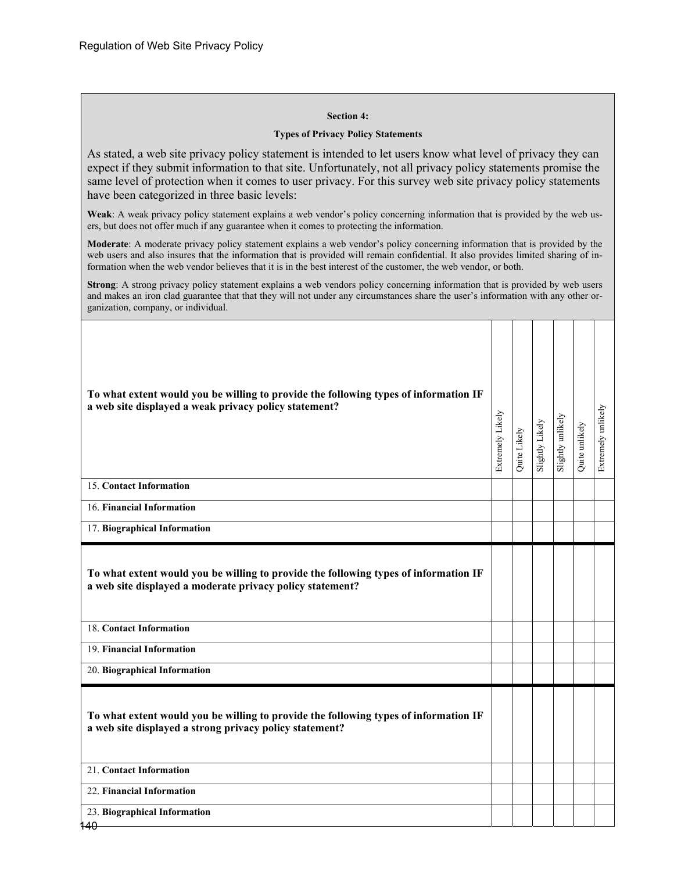#### **Section 4:**

#### **Types of Privacy Policy Statements**

As stated, a web site privacy policy statement is intended to let users know what level of privacy they can expect if they submit information to that site. Unfortunately, not all privacy policy statements promise the same level of protection when it comes to user privacy. For this survey web site privacy policy statements have been categorized in three basic levels:

**Weak**: A weak privacy policy statement explains a web vendor's policy concerning information that is provided by the web users, but does not offer much if any guarantee when it comes to protecting the information.

**Moderate**: A moderate privacy policy statement explains a web vendor's policy concerning information that is provided by the web users and also insures that the information that is provided will remain confidential. It also provides limited sharing of information when the web vendor believes that it is in the best interest of the customer, the web vendor, or both.

**Strong**: A strong privacy policy statement explains a web vendors policy concerning information that is provided by web users and makes an iron clad guarantee that that they will not under any circumstances share the user's information with any other organization, company, or individual.

| To what extent would you be willing to provide the following types of information IF<br>a web site displayed a weak privacy policy statement?     | Extremely Likely | Quite Likely | Slightly Likely | Slightly unlikely | Quite unlikely | Extremely unlikely |
|---------------------------------------------------------------------------------------------------------------------------------------------------|------------------|--------------|-----------------|-------------------|----------------|--------------------|
| 15. Contact Information                                                                                                                           |                  |              |                 |                   |                |                    |
| 16. Financial Information                                                                                                                         |                  |              |                 |                   |                |                    |
| 17. Biographical Information                                                                                                                      |                  |              |                 |                   |                |                    |
| To what extent would you be willing to provide the following types of information IF<br>a web site displayed a moderate privacy policy statement? |                  |              |                 |                   |                |                    |
| 18. Contact Information                                                                                                                           |                  |              |                 |                   |                |                    |
| 19. Financial Information                                                                                                                         |                  |              |                 |                   |                |                    |
| 20. Biographical Information                                                                                                                      |                  |              |                 |                   |                |                    |
| To what extent would you be willing to provide the following types of information IF<br>a web site displayed a strong privacy policy statement?   |                  |              |                 |                   |                |                    |
| 21. Contact Information                                                                                                                           |                  |              |                 |                   |                |                    |
| 22. Financial Information                                                                                                                         |                  |              |                 |                   |                |                    |
| 23. Biographical Information<br>140                                                                                                               |                  |              |                 |                   |                |                    |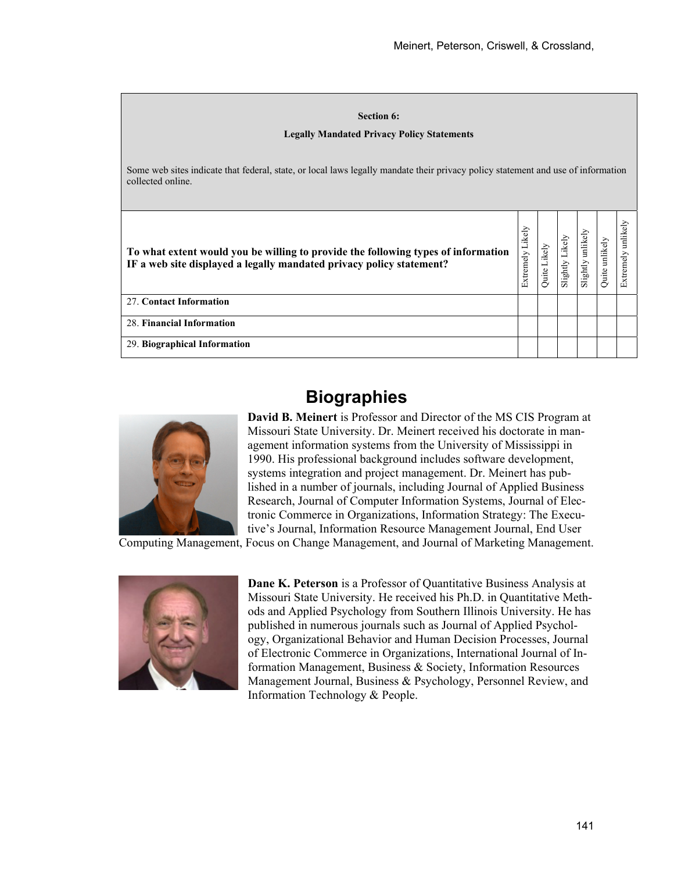| <b>Section 6:</b><br><b>Legally Mandated Privacy Policy Statements</b>                                                                                    |                  |              |                 |                      |                |                       |  |
|-----------------------------------------------------------------------------------------------------------------------------------------------------------|------------------|--------------|-----------------|----------------------|----------------|-----------------------|--|
| Some web sites indicate that federal, state, or local laws legally mandate their privacy policy statement and use of information<br>collected online.     |                  |              |                 |                      |                |                       |  |
| To what extent would you be willing to provide the following types of information<br>IF a web site displayed a legally mandated privacy policy statement? | Extremely Likely | Quite Likely | Slightly Likely | unlikely<br>Slightly | Quite unlikely | unlikely<br>Extremely |  |
| 27. Contact Information                                                                                                                                   |                  |              |                 |                      |                |                       |  |
| 28. Financial Information                                                                                                                                 |                  |              |                 |                      |                |                       |  |
| 29. Biographical Information                                                                                                                              |                  |              |                 |                      |                |                       |  |

# **Biographies**



**David B. Meinert** is Professor and Director of the MS CIS Program at Missouri State University. Dr. Meinert received his doctorate in management information systems from the University of Mississippi in 1990. His professional background includes software development, systems integration and project management. Dr. Meinert has published in a number of journals, including Journal of Applied Business Research, Journal of Computer Information Systems, Journal of Electronic Commerce in Organizations, Information Strategy: The Executive's Journal, Information Resource Management Journal, End User

Computing Management, Focus on Change Management, and Journal of Marketing Management.



**Dane K. Peterson** is a Professor of Quantitative Business Analysis at Missouri State University. He received his Ph.D. in Quantitative Methods and Applied Psychology from Southern Illinois University. He has published in numerous journals such as Journal of Applied Psychology, Organizational Behavior and Human Decision Processes, Journal of Electronic Commerce in Organizations, International Journal of Information Management, Business & Society, Information Resources Management Journal, Business & Psychology, Personnel Review, and Information Technology & People.